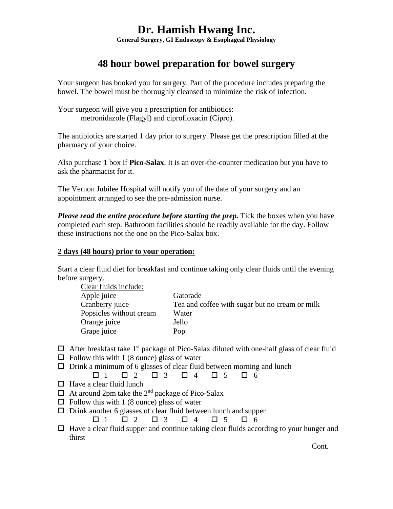## **Dr. Hamish Hwang Inc.**

**General Surgery, GI Endoscopy & Esophageal Physiology** 

### **48 hour bowel preparation for bowel surgery**

Your surgeon has booked you for surgery. Part of the procedure includes preparing the bowel. The bowel must be thoroughly cleansed to minimize the risk of infection.

Your surgeon will give you a prescription for antibiotics: metronidazole (Flagyl) and ciprofloxacin (Cipro).

The antibiotics are started 1 day prior to surgery. Please get the prescription filled at the pharmacy of your choice.

Also purchase 1 box if **Pico-Salax**. It is an over-the-counter medication but you have to ask the pharmacist for it.

The Vernon Jubilee Hospital will notify you of the date of your surgery and an appointment arranged to see the pre-admission nurse.

*Please read the entire procedure before starting the prep.* Tick the boxes when you have completed each step. Bathroom facilities should be readily available for the day. Follow these instructions not the one on the Pico-Salax box.

#### **2 days (48 hours) prior to your operation:**

Start a clear fluid diet for breakfast and continue taking only clear fluids until the evening before surgery.

| Gatorade                                       |
|------------------------------------------------|
| Tea and coffee with sugar but no cream or milk |
| Water                                          |
| Jello                                          |
| Pop                                            |
|                                                |

- $\Box$  After breakfast take 1<sup>st</sup> package of Pico-Salax diluted with one-half glass of clear fluid
- $\Box$  Follow this with 1 (8 ounce) glass of water
- $\Box$  Drink a minimum of 6 glasses of clear fluid between morning and lunch

```
\Box 1 \quad \Box 2 \quad \Box 3 \quad \Box 4 \quad \Box 5 \quad \Box 6
```
- $\Box$  Have a clear fluid lunch
- $\Box$  At around 2pm take the 2<sup>nd</sup> package of Pico-Salax
- $\Box$  Follow this with 1 (8 ounce) glass of water
- $\Box$  Drink another 6 glasses of clear fluid between lunch and supper
	- $\Box$  1  $\Box$  2  $\Box$  3  $\Box$  4  $\Box$  5  $\Box$  6
- $\Box$  Have a clear fluid supper and continue taking clear fluids according to your hunger and thirst

Cont.